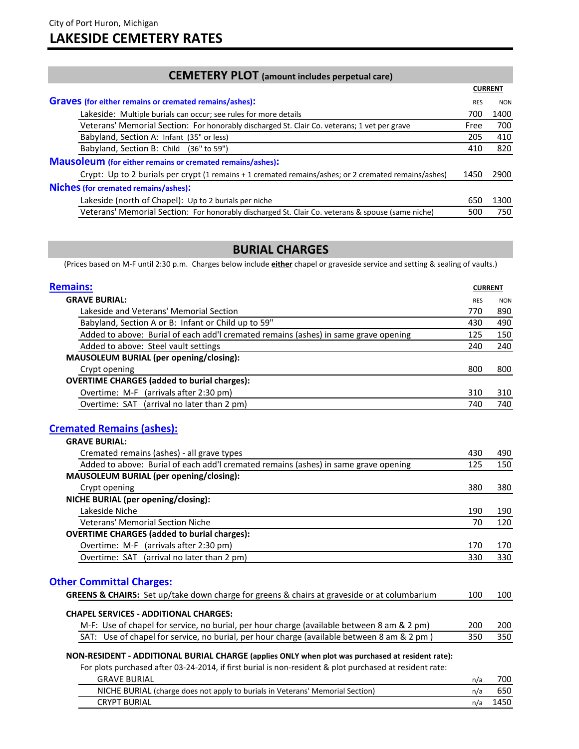| <b>CEMETERY PLOT</b> (amount includes perpetual care)                                                |                |            |
|------------------------------------------------------------------------------------------------------|----------------|------------|
|                                                                                                      | <b>CURRENT</b> |            |
| <b>Graves</b> (for either remains or cremated remains/ashes):                                        | <b>RES</b>     | <b>NON</b> |
| Lakeside: Multiple burials can occur; see rules for more details                                     | 700            | 1400       |
| Veterans' Memorial Section: For honorably discharged St. Clair Co. veterans; 1 vet per grave         | Free           | 700        |
| Babyland, Section A: Infant (35" or less)                                                            | 205            | 410        |
| Babyland, Section B: Child (36" to 59")                                                              | 410            | 820        |
| <b>Mausoleum</b> (for either remains or cremated remains/ashes):                                     |                |            |
| Crypt: Up to 2 burials per crypt (1 remains + 1 cremated remains/ashes; or 2 cremated remains/ashes) | 1450           | 2900       |
| <b>Niches (for cremated remains/ashes):</b>                                                          |                |            |
| Lakeside (north of Chapel): Up to 2 burials per niche                                                | 650            | 1300       |
| Veterans' Memorial Section: For honorably discharged St. Clair Co. veterans & spouse (same niche)    | 500            | 750        |
|                                                                                                      |                |            |

# **BURIAL CHARGES**

(Prices based on M-F until 2:30 p.m. Charges below include **either** chapel or graveside service and setting & sealing of vaults.)

| <b>Remains:</b>                                                                     |            | <b>CURRENT</b> |  |
|-------------------------------------------------------------------------------------|------------|----------------|--|
| <b>GRAVE BURIAL:</b>                                                                | <b>RES</b> | <b>NON</b>     |  |
| Lakeside and Veterans' Memorial Section                                             | 770        | 890            |  |
| Babyland, Section A or B: Infant or Child up to 59"                                 | 430        | 490            |  |
| Added to above: Burial of each add'I cremated remains (ashes) in same grave opening | 125        | 150            |  |
| Added to above: Steel vault settings                                                | 240        | 240            |  |
| MAUSOLEUM BURIAL (per opening/closing):                                             |            |                |  |
| Crypt opening                                                                       | 800        | 800            |  |
| <b>OVERTIME CHARGES (added to burial charges):</b>                                  |            |                |  |
| Overtime: M-F (arrivals after 2:30 pm)                                              | 310        | 310            |  |
| Overtime: SAT (arrival no later than 2 pm)                                          | 740        | 740            |  |
|                                                                                     |            |                |  |

# **Cremated Remains (ashes):**

| <b>GRAVE BURIAL:</b>                                                                |     |     |
|-------------------------------------------------------------------------------------|-----|-----|
| Cremated remains (ashes) - all grave types                                          | 430 | 490 |
| Added to above: Burial of each add'l cremated remains (ashes) in same grave opening | 125 | 150 |
| MAUSOLEUM BURIAL (per opening/closing):                                             |     |     |
| Crypt opening                                                                       | 380 | 380 |
| NICHE BURIAL (per opening/closing):                                                 |     |     |
| Lakeside Niche                                                                      | 190 | 190 |
| <b>Veterans' Memorial Section Niche</b>                                             | 70  | 120 |
| <b>OVERTIME CHARGES (added to burial charges):</b>                                  |     |     |
| Overtime: M-F (arrivals after 2:30 pm)                                              | 170 | 170 |
| Overtime: SAT (arrival no later than 2 pm)                                          | 330 | 330 |

# **Other Committal Charges:**

| <b>GREENS &amp; CHAIRS:</b> Set up/take down charge for greens & chairs at graveside or at columbarium |     | 100 |
|--------------------------------------------------------------------------------------------------------|-----|-----|
| <b>CHAPEL SERVICES - ADDITIONAL CHARGES:</b>                                                           |     |     |
| M-F: Use of chapel for service, no burial, per hour charge (available between 8 am & 2 pm)             | 200 | 200 |
| SAT: Use of chapel for service, no burial, per hour charge (available between 8 am & 2 pm)             | 350 | 350 |

#### **NON-RESIDENT - ADDITIONAL BURIAL CHARGE (applies ONLY when plot was purchased at resident rate):**

For plots purchased after 03-24-2014, if first burial is non-resident & plot purchased at resident rate:

| <b>GRAVE BURIAL</b>                                                           | n/a | 700- |
|-------------------------------------------------------------------------------|-----|------|
| NICHE BURIAL (charge does not apply to burials in Veterans' Memorial Section) |     |      |
| <b>CRYPT BURIAL</b>                                                           | n/a |      |